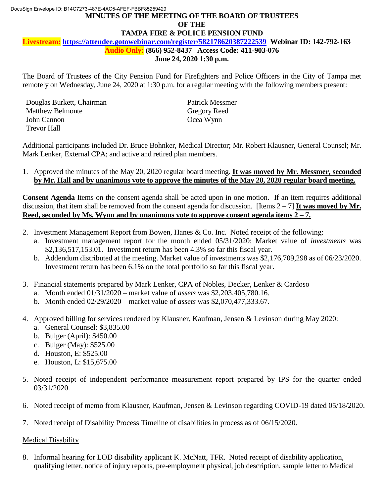### **MINUTES OF THE MEETING OF THE BOARD OF TRUSTEES**  DocuSign Envelope ID: B14C7273-487E-4AC5-AFEF-FBBF85259429 **OF THE TAMPA FIRE & POLICE PENSION FUND**

**Livestream: https://attendee.gotowebinar.com/register/582178620387222539 Webinar ID: 142-792-163** 

 **Audio Only: (866) 952-8437 Access Code: 411-903-076** 

#### **June 24, 2020 1:30 p.m.**

 The Board of Trustees of the City Pension Fund for Firefighters and Police Officers in the City of Tampa met remotely on Wednesday, June 24, 2020 at 1:30 p.m. for a regular meeting with the following members present:

Douglas Burkett, Chairman Patrick Messmer Matthew Belmonte Gregory Reed John Cannon Ocea Wynn Trevor Hall

 Additional participants included Dr. Bruce Bohnker, Medical Director; Mr. Robert Klausner, General Counsel; Mr. Mark Lenker, External CPA; and active and retired plan members.

 1. Approved the minutes of the May 20, 2020 regular board meeting. **It was moved by Mr. Messmer, seconded by Mr. Hall and by unanimous vote to approve the minutes of the May 20, 2020 regular board meeting.** 

 **Consent Agenda** Items on the consent agenda shall be acted upon in one motion. If an item requires additional discussion, that item shall be removed from the consent agenda for discussion. [Items 2 – 7] **It was moved by Mr. Reed, seconded by Ms. Wynn and by unanimous vote to approve consent agenda items 2 – 7.** 

- 2. Investment Management Report from Bowen, Hanes & Co. Inc. Noted receipt of the following:
	- a. Investment management report for the month ended 05/31/2020: Market value of *investments* was \$2,136,517,153.01. Investment return has been 4.3% so far this fiscal year.
	- b. Addendum distributed at the meeting. Market value of investments was \$2,176,709,298 as of 06/23/2020. Investment return has been 6.1% on the total portfolio so far this fiscal year.
- 3. Financial statements prepared by Mark Lenker, CPA of Nobles, Decker, Lenker & Cardoso
	- a. Month ended 01/31/2020 market value of *assets* was \$2,203,405,780.16.
	- b. Month ended 02/29/2020 market value of *assets* was \$2,070,477,333.67.
- 4. Approved billing for services rendered by Klausner, Kaufman, Jensen & Levinson during May 2020: a. General Counsel: \$3,835.00
	- b. Bulger (April): \$450.00
	- c. Bulger (May): \$525.00
	- d. Houston, E: \$525.00
	- e. Houston, L: \$15,675.00
- 5. Noted receipt of independent performance measurement report prepared by IPS for the quarter ended 03/31/2020.
- 6. Noted receipt of memo from Klausner, Kaufman, Jensen & Levinson regarding COVID-19 dated 05/18/2020.
- 7. Noted receipt of Disability Process Timeline of disabilities in process as of 06/15/2020.

#### Medical Disability

 qualifying letter, notice of injury reports, pre-employment physical, job description, sample letter to Medical 8. Informal hearing for LOD disability applicant K. McNatt, TFR. Noted receipt of disability application,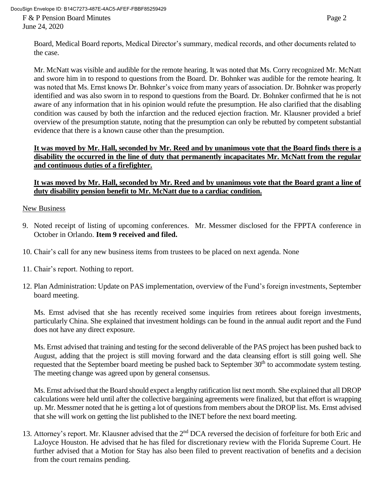DocuSign Envelope ID: B14C7273-487E-4AC5-AFEF-FBBF85259429

F & P Pension Board Minutes Page 2 June 24, 2020

 Mr. McNatt was visible and audible for the remote hearing. It was noted that Ms. Corry recognized Mr. McNatt and swore him in to respond to questions from the Board. Dr. Bohnker was audible for the remote hearing. It was noted that Ms. Ernst knows Dr. Bohnker's voice from many years of association. Dr. Bohnker was properly identified and was also sworn in to respond to questions from the Board. Dr. Bohnker confirmed that he is not aware of any information that in his opinion would refute the presumption. He also clarified that the disabling condition was caused by both the infarction and the reduced ejection fraction. Mr. Klausner provided a brief overview of the presumption statute, noting that the presumption can only be rebutted by competent substantial evidence that there is a known cause other than the presumption.

# It was moved by Mr. Hall, seconded by Mr. Reed and by unanimous vote that the Board finds there is a  **disability the occurred in the line of duty that permanently incapacitates Mr. McNatt from the regular and continuous duties of a firefighter.**

# It was moved by Mr. Hall, seconded by Mr. Reed and by unanimous vote that the Board grant a line of  **duty disability pension benefit to Mr. McNatt due to a cardiac condition.**

### New Business

- 9. Noted receipt of listing of upcoming conferences. Mr. Messmer disclosed for the FPPTA conference in October in Orlando. **Item 9 received and filed.**
- 10. Chair's call for any new business items from trustees to be placed on next agenda. None
- 11. Chair's report. Nothing to report.
- 12. Plan Administration: Update on PAS implementation, overview of the Fund's foreign investments, September board meeting.

 Ms. Ernst advised that she has recently received some inquiries from retirees about foreign investments, particularly China. She explained that investment holdings can be found in the annual audit report and the Fund does not have any direct exposure.

 Ms. Ernst advised that training and testing for the second deliverable of the PAS project has been pushed back to August, adding that the project is still moving forward and the data cleansing effort is still going well. She requested that the September board meeting be pushed back to September 30<sup>th</sup> to accommodate system testing. The meeting change was agreed upon by general consensus.

 Ms. Ernst advised that the Board should expect a lengthy ratification list next month. She explained that all DROP calculations were held until after the collective bargaining agreements were finalized, but that effort is wrapping up. Mr. Messmer noted that he is getting a lot of questions from members about the DROP list. Ms. Ernst advised that she will work on getting the list published to the INET before the next board meeting.

13. Attorney's report. Mr. Klausner advised that the 2<sup>nd</sup> DCA reversed the decision of forfeiture for both Eric and LaJoyce Houston. He advised that he has filed for discretionary review with the Florida Supreme Court. He further advised that a Motion for Stay has also been filed to prevent reactivation of benefits and a decision from the court remains pending.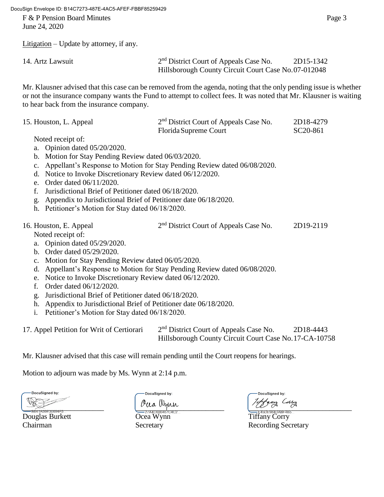DocuSign Envelope ID: B14C7273-487E-4AC5-AFEF-FBBF85259429

F & P Pension Board Minutes Page 3 June 24, 2020

Litigation – Update by attorney, if any.

| 14. Artz Lawsuit | $2nd$ District Court of Appeals Case No.            | 2D15-1342 |
|------------------|-----------------------------------------------------|-----------|
|                  | Hillsborough County Circuit Court Case No.07-012048 |           |

 Mr. Klausner advised that this case can be removed from the agenda, noting that the only pending issue is whether or not the insurance company wants the Fund to attempt to collect fees. It was noted that Mr. Klausner is waiting to hear back from the insurance company.

| 15. Houston, L. Appeal                                                                  | 2 <sup>nd</sup> District Court of Appeals Case No.<br>Florida Supreme Court | 2D18-4279<br>SC20-861 |  |
|-----------------------------------------------------------------------------------------|-----------------------------------------------------------------------------|-----------------------|--|
| Noted receipt of:                                                                       |                                                                             |                       |  |
| a. Opinion dated 05/20/2020.                                                            |                                                                             |                       |  |
| b. Motion for Stay Pending Review dated 06/03/2020.                                     |                                                                             |                       |  |
| Appellant's Response to Motion for Stay Pending Review dated 06/08/2020.<br>$c_{\cdot}$ |                                                                             |                       |  |
| Notice to Invoke Discretionary Review dated 06/12/2020.<br>d.                           |                                                                             |                       |  |
| Order dated 06/11/2020.<br>$e_{-}$                                                      |                                                                             |                       |  |
| Jurisdictional Brief of Petitioner dated 06/18/2020.<br>f.                              |                                                                             |                       |  |
| Appendix to Jurisdictional Brief of Petitioner date 06/18/2020.<br>g.                   |                                                                             |                       |  |
| h. Petitioner's Motion for Stay dated 06/18/2020.                                       |                                                                             |                       |  |
| 16. Houston, E. Appeal                                                                  | 2 <sup>nd</sup> District Court of Appeals Case No.                          | 2D19-2119             |  |
| Noted receipt of:                                                                       |                                                                             |                       |  |
| a. Opinion dated 05/29/2020.                                                            |                                                                             |                       |  |
| b. Order dated 05/29/2020.                                                              |                                                                             |                       |  |
| Motion for Stay Pending Review dated 06/05/2020.<br>$\mathbf{c}$ .                      |                                                                             |                       |  |
| Appellant's Response to Motion for Stay Pending Review dated 06/08/2020.<br>d.          |                                                                             |                       |  |
| Notice to Invoke Discretionary Review dated 06/12/2020.<br>e.                           |                                                                             |                       |  |
| Order dated 06/12/2020.<br>f.                                                           |                                                                             |                       |  |
| Jurisdictional Brief of Petitioner dated 06/18/2020.<br>g.                              |                                                                             |                       |  |
| h. Appendix to Jurisdictional Brief of Petitioner date 06/18/2020.                      |                                                                             |                       |  |
| Petitioner's Motion for Stay dated 06/18/2020.<br>i.                                    |                                                                             |                       |  |
|                                                                                         |                                                                             | 2D10.111              |  |

17. Appel Petition for Writ of Certiorari 2<sup>nd</sup> District Court of Appeals Case No. 2D18-4443 Hillsborough County Circuit Court Case No.17-CA-10758

Mr. Klausner advised that this case will remain pending until the Court reopens for hearings.

Motion to adjourn was made by Ms. Wynn at 2:14 p.m.

DocuSigned by: \_\_\_\_\_\_\_\_\_\_\_\_\_\_\_\_\_\_\_\_\_\_ \_\_\_\_\_\_\_\_\_\_\_\_\_\_\_\_\_\_\_\_\_\_\_\_ \_\_\_\_\_\_\_\_\_\_\_\_\_\_\_\_\_\_\_\_\_\_\_\_\_\_\_\_

<del>Examples Congress of the Correlation Correlation Corry Corry Corry Corry Corry Corry Corry Corry Corry Corry Corry Corry Corry Corry Corry Corry Corry Corry Corry Corry Corry Corry Corry Corry Corry Corry Corry Corry Corr</del>

DocuSigned by:

DocuSigned by:

Chairman Secretary Secretary Recording Secretary